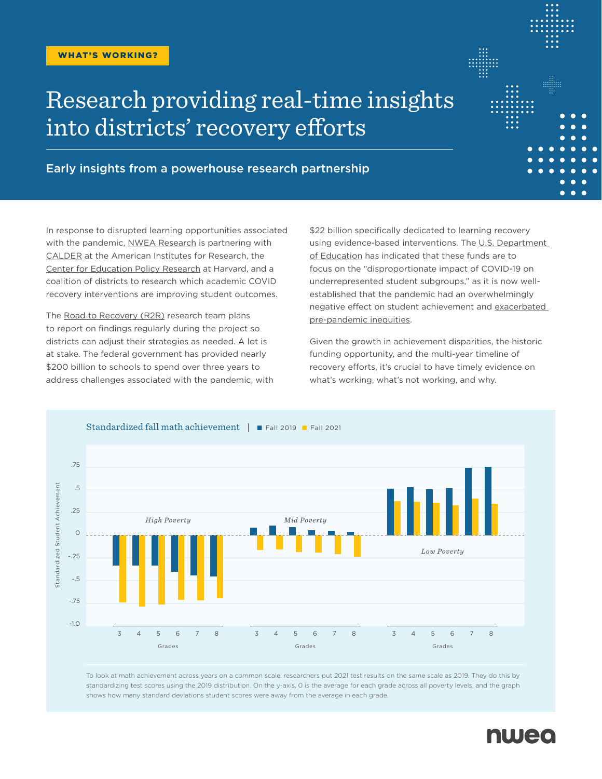# Research providing real-time insights into districts' recovery efforts

Early insights from a powerhouse research partnership

In response to disrupted learning opportunities associated with the pandemic, [NWEA Research](https://www.nwea.org/research/) is partnering with [CALDER](https://caldercenter.org/) at the American Institutes for Research, the [Center for Education Policy Research](https://cepr.harvard.edu/) at Harvard, and a coalition of districts to research which academic COVID recovery interventions are improving student outcomes.

The [Road to Recovery \(R2R\)](https://caldercenter.org/covid-recovery) research team plans to report on findings regularly during the project so districts can adjust their strategies as needed. A lot is at stake. The federal government has provided nearly \$200 billion to schools to spend over three years to address challenges associated with the pandemic, with

\$22 billion specifically dedicated to learning recovery using evidence-based interventions. The U.S. Department [of Education](https://oese.ed.gov/files/2021/03/FINAL_ARP-ESSER-FACT-SHEET.pdf) has indicated that these funds are to focus on the "disproportionate impact of COVID-19 on underrepresented student subgroups," as it is now wellestablished that the pandemic had an overwhelmingly negative effect on student achievement and [exacerbated](https://www.nwea.org/research/publication/learning-during-covid-19-reading-and-math-achievement-in-the-2020-2021-school-year/)  [pre-pandemic inequities](https://www.nwea.org/research/publication/learning-during-covid-19-reading-and-math-achievement-in-the-2020-2021-school-year/).

Given the growth in achievement disparities, the historic funding opportunity, and the multi-year timeline of recovery efforts, it's crucial to have timely evidence on what's working, what's not working, and why.



To look at math achievement across years on a common scale, researchers put 2021 test results on the same scale as 2019. They do this by standardizing test scores using the 2019 distribution. On the y-axis, 0 is the average for each grade across all poverty levels, and the graph shows how many standard deviations student scores were away from the average in each grade.



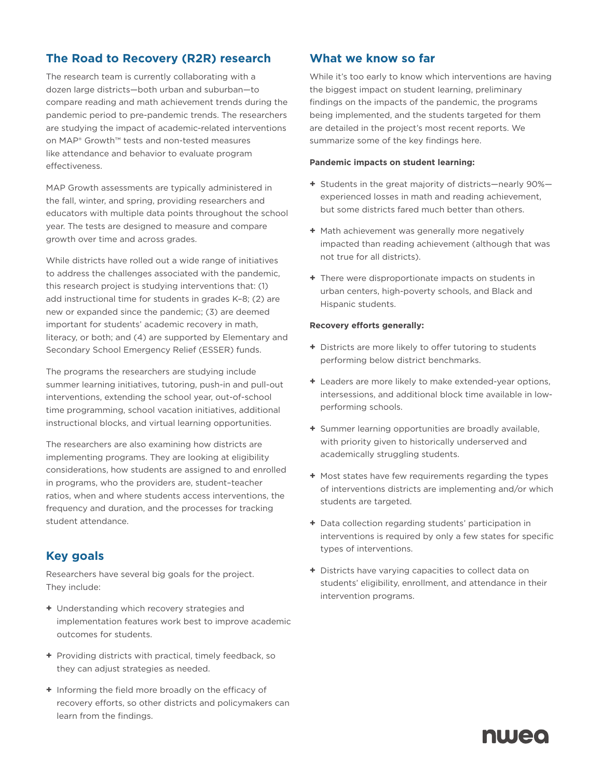# **The Road to Recovery (R2R) research**

The research team is currently collaborating with a dozen large districts—both urban and suburban—to compare reading and math achievement trends during the pandemic period to pre-pandemic trends. The researchers are studying the impact of academic-related interventions on [MAP® Growth™](https://www.nwea.org/map-growth/) tests and non-tested measures like attendance and behavior to evaluate program effectiveness.

MAP Growth assessments are typically administered in the fall, winter, and spring, providing researchers and educators with multiple data points throughout the school year. The tests are designed to measure and compare growth over time and across grades.

While districts have rolled out a wide range of initiatives to address the challenges associated with the pandemic, this research project is studying interventions that: (1) add instructional time for students in grades K–8; (2) are new or expanded since the pandemic; (3) are deemed important for students' academic recovery in math, literacy, or both; and (4) are supported by Elementary and Secondary School Emergency Relief (ESSER) funds.

The programs the researchers are studying include summer learning initiatives, tutoring, push-in and pull-out interventions, extending the school year, out-of-school time programming, school vacation initiatives, additional instructional blocks, and virtual learning opportunities.

The researchers are also examining how districts are implementing programs. They are looking at eligibility considerations, how students are assigned to and enrolled in programs, who the providers are, student–teacher ratios, when and where students access interventions, the frequency and duration, and the processes for tracking student attendance.

## **Key goals**

Researchers have several big goals for the project. They include:

- **+** Understanding which recovery strategies and implementation features work best to improve academic outcomes for students.
- **+** Providing districts with practical, timely feedback, so they can adjust strategies as needed.
- **+** Informing the field more broadly on the efficacy of recovery efforts, so other districts and policymakers can learn from the findings.

## **What we know so far**

While it's too early to know which interventions are having the biggest impact on student learning, preliminary findings on the impacts of the pandemic, the programs being implemented, and the students targeted for them are detailed in the project's most recent reports. We summarize some of the key findings here.

#### **Pandemic impacts on student learning:**

- **+** Students in the great majority of districts—nearly 90% experienced losses in math and reading achievement, but some districts fared much better than others.
- **+** Math achievement was generally more negatively impacted than reading achievement (although that was not true for all districts).
- **+** There were disproportionate impacts on students in urban centers, high-poverty schools, and Black and Hispanic students.

#### **Recovery efforts generally:**

- **+** Districts are more likely to offer tutoring to students performing below district benchmarks.
- **+** Leaders are more likely to make extended-year options, intersessions, and additional block time available in lowperforming schools.
- **+** Summer learning opportunities are broadly available, with priority given to historically underserved and academically struggling students.
- **+** Most states have few requirements regarding the types of interventions districts are implementing and/or which students are targeted.
- **+** Data collection regarding students' participation in interventions is required by only a few states for specific types of interventions.
- **+** Districts have varying capacities to collect data on students' eligibility, enrollment, and attendance in their intervention programs.